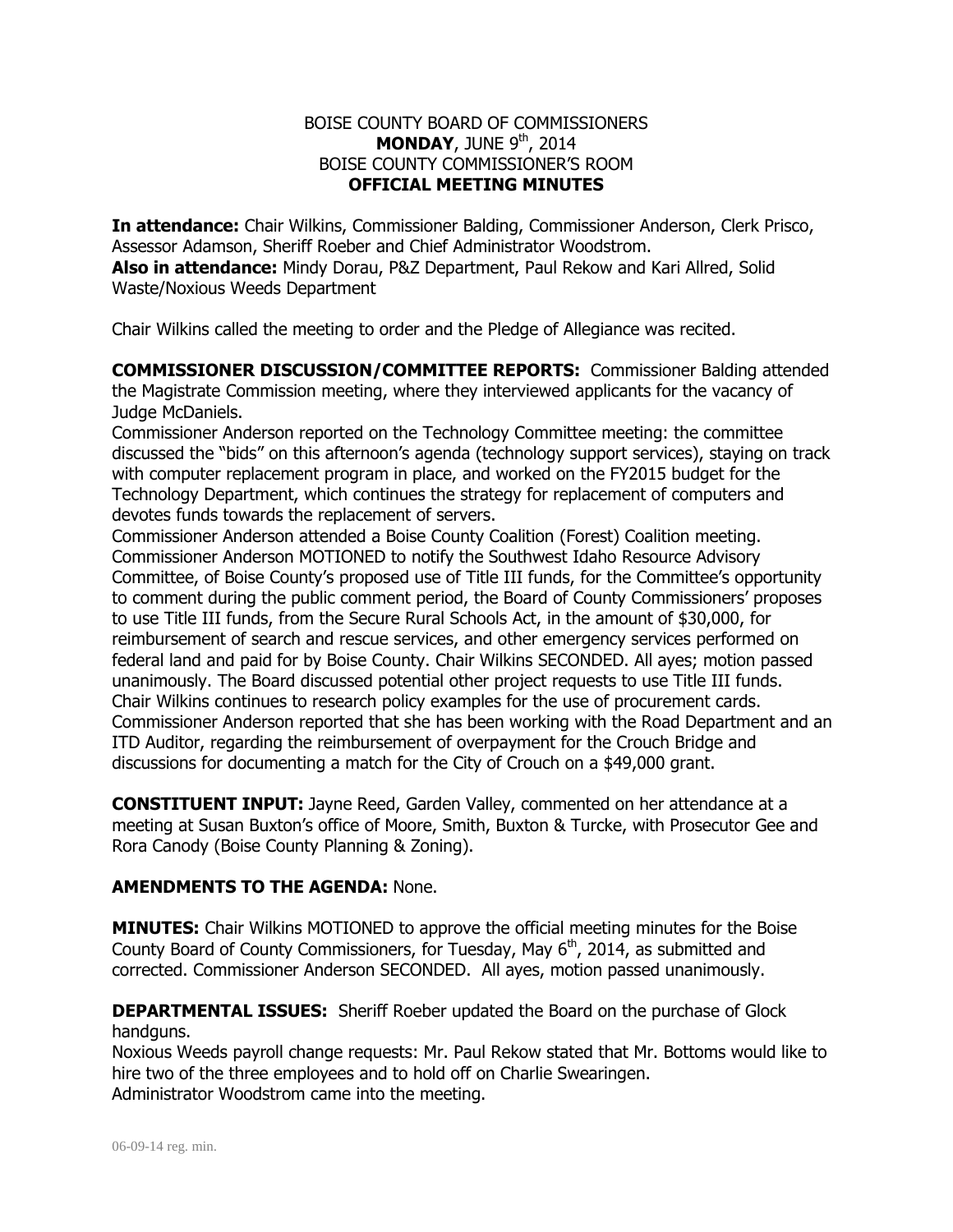## BOISE COUNTY BOARD OF COMMISSIONERS **MONDAY, JUNE 9<sup>th</sup>, 2014** BOISE COUNTY COMMISSIONER'S ROOM **OFFICIAL MEETING MINUTES**

**In attendance:** Chair Wilkins, Commissioner Balding, Commissioner Anderson, Clerk Prisco, Assessor Adamson, Sheriff Roeber and Chief Administrator Woodstrom. **Also in attendance:** Mindy Dorau, P&Z Department, Paul Rekow and Kari Allred, Solid Waste/Noxious Weeds Department

Chair Wilkins called the meeting to order and the Pledge of Allegiance was recited.

**COMMISSIONER DISCUSSION/COMMITTEE REPORTS:** Commissioner Balding attended the Magistrate Commission meeting, where they interviewed applicants for the vacancy of Judge McDaniels.

Commissioner Anderson reported on the Technology Committee meeting: the committee discussed the "bids" on this afternoon's agenda (technology support services), staying on track with computer replacement program in place, and worked on the FY2015 budget for the Technology Department, which continues the strategy for replacement of computers and devotes funds towards the replacement of servers.

Commissioner Anderson attended a Boise County Coalition (Forest) Coalition meeting. Commissioner Anderson MOTIONED to notify the Southwest Idaho Resource Advisory Committee, of Boise County's proposed use of Title III funds, for the Committee's opportunity to comment during the public comment period, the Board of County Commissioners' proposes to use Title III funds, from the Secure Rural Schools Act, in the amount of \$30,000, for reimbursement of search and rescue services, and other emergency services performed on federal land and paid for by Boise County. Chair Wilkins SECONDED. All ayes; motion passed unanimously. The Board discussed potential other project requests to use Title III funds. Chair Wilkins continues to research policy examples for the use of procurement cards. Commissioner Anderson reported that she has been working with the Road Department and an ITD Auditor, regarding the reimbursement of overpayment for the Crouch Bridge and discussions for documenting a match for the City of Crouch on a \$49,000 grant.

**CONSTITUENT INPUT:** Jayne Reed, Garden Valley, commented on her attendance at a meeting at Susan Buxton's office of Moore, Smith, Buxton & Turcke, with Prosecutor Gee and Rora Canody (Boise County Planning & Zoning).

# **AMENDMENTS TO THE AGENDA:** None.

**MINUTES:** Chair Wilkins MOTIONED to approve the official meeting minutes for the Boise County Board of County Commissioners, for Tuesday, May 6<sup>th</sup>, 2014, as submitted and corrected. Commissioner Anderson SECONDED. All ayes, motion passed unanimously.

# **DEPARTMENTAL ISSUES:** Sheriff Roeber updated the Board on the purchase of Glock handguns.

Noxious Weeds payroll change requests: Mr. Paul Rekow stated that Mr. Bottoms would like to hire two of the three employees and to hold off on Charlie Swearingen. Administrator Woodstrom came into the meeting.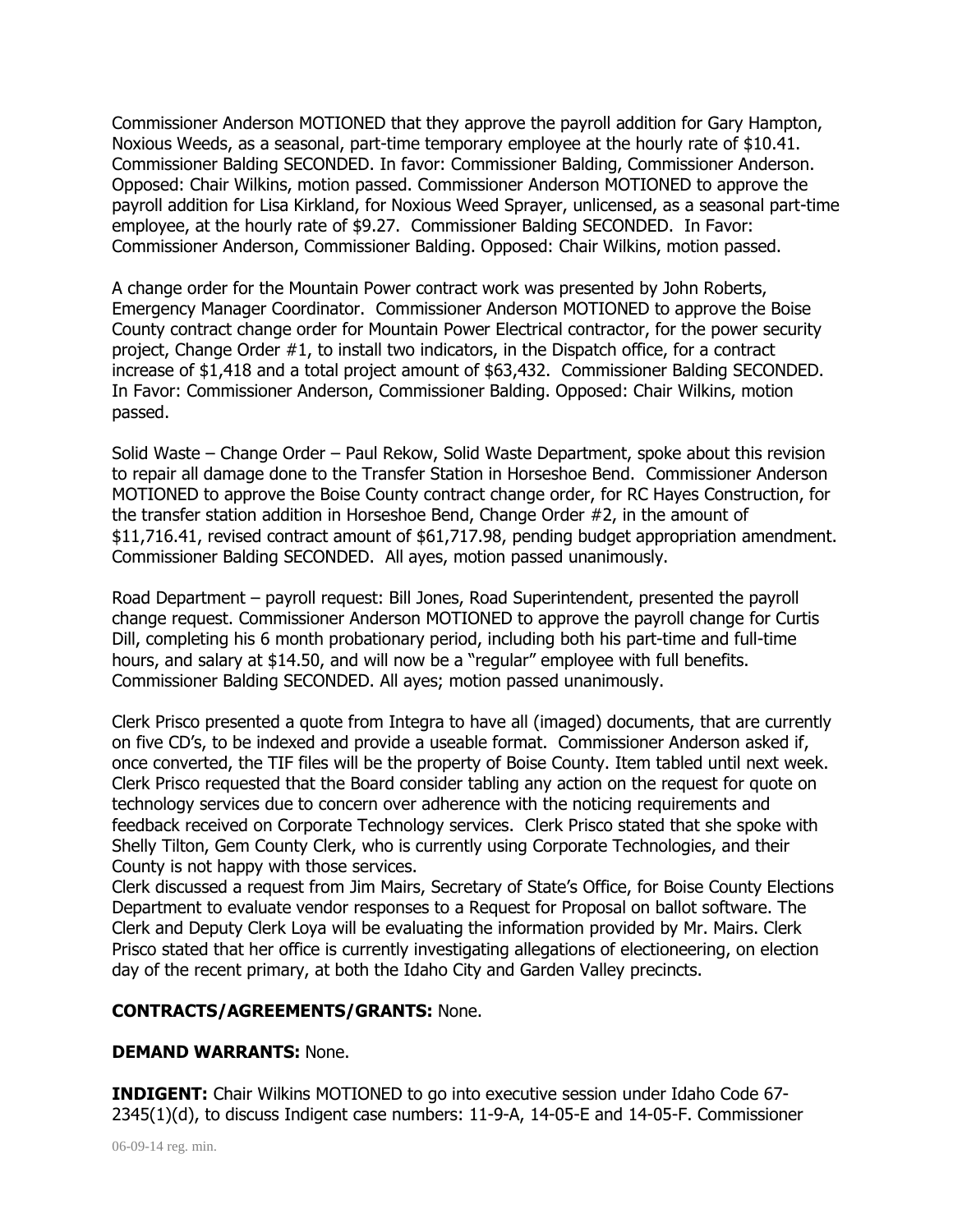Commissioner Anderson MOTIONED that they approve the payroll addition for Gary Hampton, Noxious Weeds, as a seasonal, part-time temporary employee at the hourly rate of \$10.41. Commissioner Balding SECONDED. In favor: Commissioner Balding, Commissioner Anderson. Opposed: Chair Wilkins, motion passed. Commissioner Anderson MOTIONED to approve the payroll addition for Lisa Kirkland, for Noxious Weed Sprayer, unlicensed, as a seasonal part-time employee, at the hourly rate of \$9.27. Commissioner Balding SECONDED. In Favor: Commissioner Anderson, Commissioner Balding. Opposed: Chair Wilkins, motion passed.

A change order for the Mountain Power contract work was presented by John Roberts, Emergency Manager Coordinator. Commissioner Anderson MOTIONED to approve the Boise County contract change order for Mountain Power Electrical contractor, for the power security project, Change Order #1, to install two indicators, in the Dispatch office, for a contract increase of \$1,418 and a total project amount of \$63,432. Commissioner Balding SECONDED. In Favor: Commissioner Anderson, Commissioner Balding. Opposed: Chair Wilkins, motion passed.

Solid Waste – Change Order – Paul Rekow, Solid Waste Department, spoke about this revision to repair all damage done to the Transfer Station in Horseshoe Bend. Commissioner Anderson MOTIONED to approve the Boise County contract change order, for RC Hayes Construction, for the transfer station addition in Horseshoe Bend, Change Order #2, in the amount of \$11,716.41, revised contract amount of \$61,717.98, pending budget appropriation amendment. Commissioner Balding SECONDED. All ayes, motion passed unanimously.

Road Department – payroll request: Bill Jones, Road Superintendent, presented the payroll change request. Commissioner Anderson MOTIONED to approve the payroll change for Curtis Dill, completing his 6 month probationary period, including both his part-time and full-time hours, and salary at \$14.50, and will now be a "regular" employee with full benefits. Commissioner Balding SECONDED. All ayes; motion passed unanimously.

Clerk Prisco presented a quote from Integra to have all (imaged) documents, that are currently on five CD's, to be indexed and provide a useable format. Commissioner Anderson asked if, once converted, the TIF files will be the property of Boise County. Item tabled until next week. Clerk Prisco requested that the Board consider tabling any action on the request for quote on technology services due to concern over adherence with the noticing requirements and feedback received on Corporate Technology services. Clerk Prisco stated that she spoke with Shelly Tilton, Gem County Clerk, who is currently using Corporate Technologies, and their County is not happy with those services.

Clerk discussed a request from Jim Mairs, Secretary of State's Office, for Boise County Elections Department to evaluate vendor responses to a Request for Proposal on ballot software. The Clerk and Deputy Clerk Loya will be evaluating the information provided by Mr. Mairs. Clerk Prisco stated that her office is currently investigating allegations of electioneering, on election day of the recent primary, at both the Idaho City and Garden Valley precincts.

### **CONTRACTS/AGREEMENTS/GRANTS:** None.

### **DEMAND WARRANTS:** None.

**INDIGENT:** Chair Wilkins MOTIONED to go into executive session under Idaho Code 67- 2345(1)(d), to discuss Indigent case numbers: 11-9-A, 14-05-E and 14-05-F. Commissioner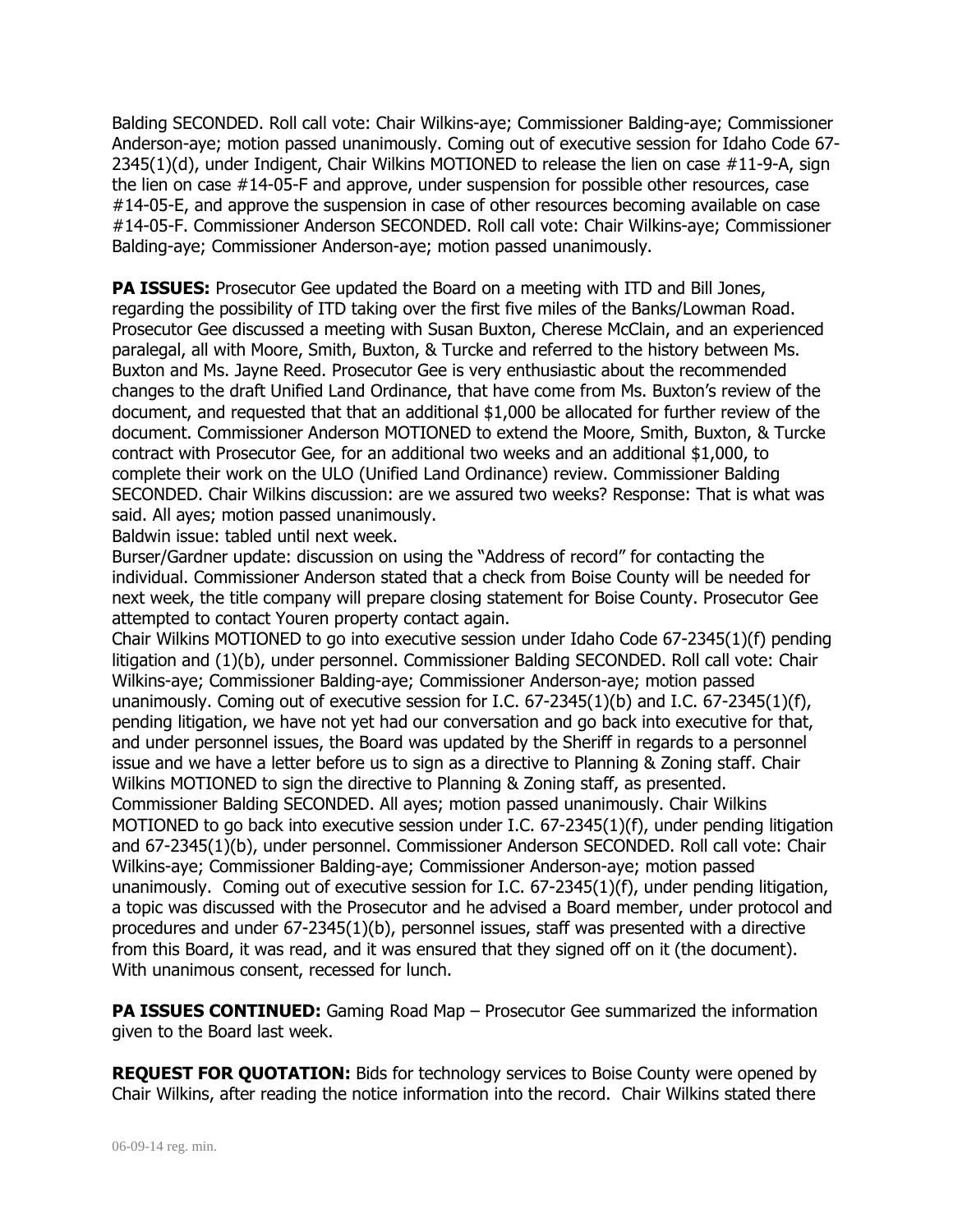Balding SECONDED. Roll call vote: Chair Wilkins-aye; Commissioner Balding-aye; Commissioner Anderson-aye; motion passed unanimously. Coming out of executive session for Idaho Code 67- 2345(1)(d), under Indigent, Chair Wilkins MOTIONED to release the lien on case #11-9-A, sign the lien on case #14-05-F and approve, under suspension for possible other resources, case #14-05-E, and approve the suspension in case of other resources becoming available on case #14-05-F. Commissioner Anderson SECONDED. Roll call vote: Chair Wilkins-aye; Commissioner Balding-aye; Commissioner Anderson-aye; motion passed unanimously.

**PA ISSUES:** Prosecutor Gee updated the Board on a meeting with ITD and Bill Jones, regarding the possibility of ITD taking over the first five miles of the Banks/Lowman Road. Prosecutor Gee discussed a meeting with Susan Buxton, Cherese McClain, and an experienced paralegal, all with Moore, Smith, Buxton, & Turcke and referred to the history between Ms. Buxton and Ms. Jayne Reed. Prosecutor Gee is very enthusiastic about the recommended changes to the draft Unified Land Ordinance, that have come from Ms. Buxton's review of the document, and requested that that an additional \$1,000 be allocated for further review of the document. Commissioner Anderson MOTIONED to extend the Moore, Smith, Buxton, & Turcke contract with Prosecutor Gee, for an additional two weeks and an additional \$1,000, to complete their work on the ULO (Unified Land Ordinance) review. Commissioner Balding SECONDED. Chair Wilkins discussion: are we assured two weeks? Response: That is what was said. All ayes; motion passed unanimously.

Baldwin issue: tabled until next week.

Burser/Gardner update: discussion on using the "Address of record" for contacting the individual. Commissioner Anderson stated that a check from Boise County will be needed for next week, the title company will prepare closing statement for Boise County. Prosecutor Gee attempted to contact Youren property contact again.

Chair Wilkins MOTIONED to go into executive session under Idaho Code 67-2345(1)(f) pending litigation and (1)(b), under personnel. Commissioner Balding SECONDED. Roll call vote: Chair Wilkins-aye; Commissioner Balding-aye; Commissioner Anderson-aye; motion passed unanimously. Coming out of executive session for I.C. 67-2345(1)(b) and I.C. 67-2345(1)(f), pending litigation, we have not yet had our conversation and go back into executive for that, and under personnel issues, the Board was updated by the Sheriff in regards to a personnel issue and we have a letter before us to sign as a directive to Planning & Zoning staff. Chair Wilkins MOTIONED to sign the directive to Planning & Zoning staff, as presented. Commissioner Balding SECONDED. All ayes; motion passed unanimously. Chair Wilkins MOTIONED to go back into executive session under I.C. 67-2345(1)(f), under pending litigation and 67-2345(1)(b), under personnel. Commissioner Anderson SECONDED. Roll call vote: Chair Wilkins-aye; Commissioner Balding-aye; Commissioner Anderson-aye; motion passed unanimously. Coming out of executive session for I.C. 67-2345(1)(f), under pending litigation, a topic was discussed with the Prosecutor and he advised a Board member, under protocol and procedures and under 67-2345(1)(b), personnel issues, staff was presented with a directive from this Board, it was read, and it was ensured that they signed off on it (the document). With unanimous consent, recessed for lunch.

**PA ISSUES CONTINUED:** Gaming Road Map – Prosecutor Gee summarized the information given to the Board last week.

**REQUEST FOR QUOTATION:** Bids for technology services to Boise County were opened by Chair Wilkins, after reading the notice information into the record. Chair Wilkins stated there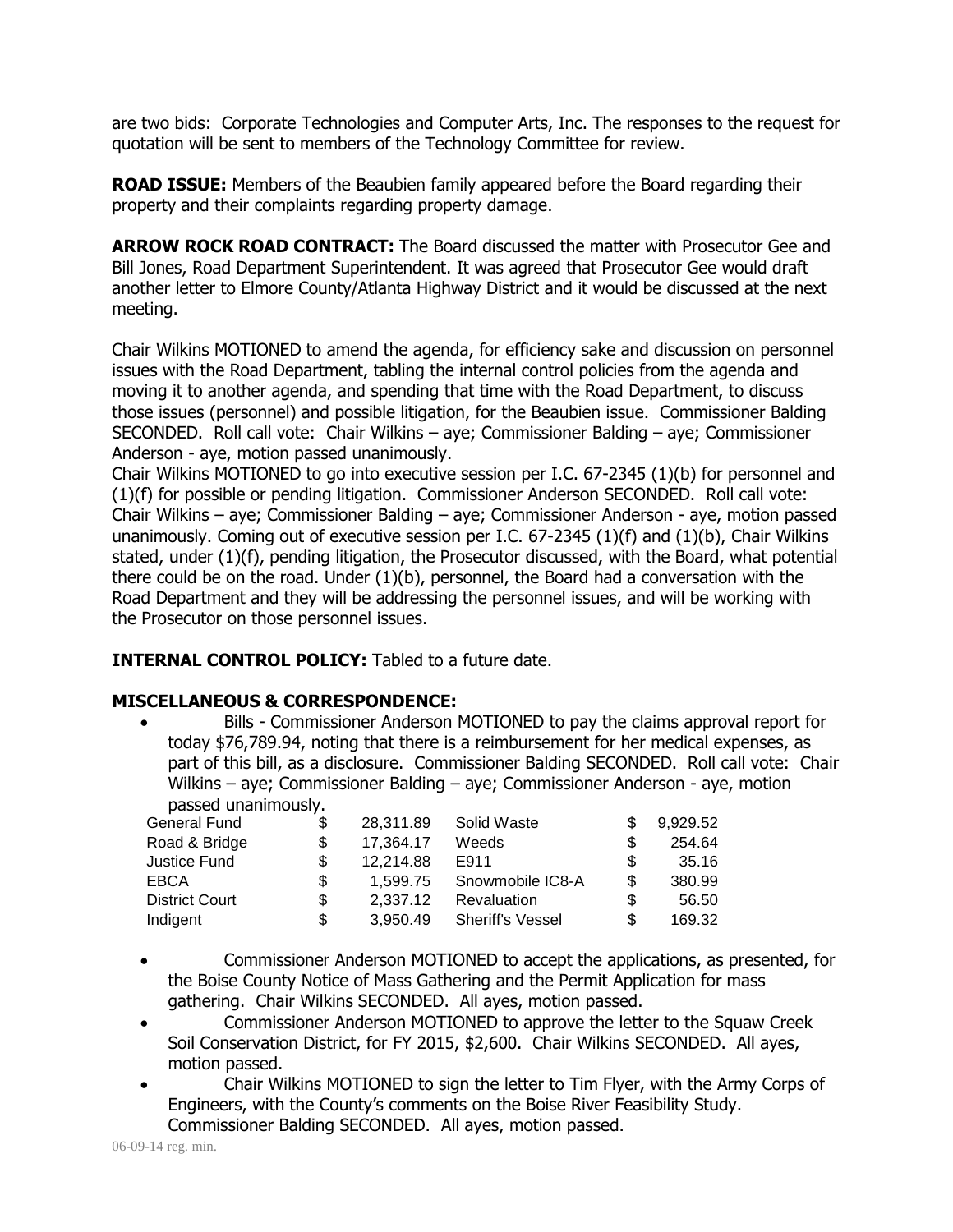are two bids: Corporate Technologies and Computer Arts, Inc. The responses to the request for quotation will be sent to members of the Technology Committee for review.

**ROAD ISSUE:** Members of the Beaubien family appeared before the Board regarding their property and their complaints regarding property damage.

**ARROW ROCK ROAD CONTRACT:** The Board discussed the matter with Prosecutor Gee and Bill Jones, Road Department Superintendent. It was agreed that Prosecutor Gee would draft another letter to Elmore County/Atlanta Highway District and it would be discussed at the next meeting.

Chair Wilkins MOTIONED to amend the agenda, for efficiency sake and discussion on personnel issues with the Road Department, tabling the internal control policies from the agenda and moving it to another agenda, and spending that time with the Road Department, to discuss those issues (personnel) and possible litigation, for the Beaubien issue. Commissioner Balding SECONDED. Roll call vote: Chair Wilkins – aye; Commissioner Balding – aye; Commissioner Anderson - aye, motion passed unanimously.

Chair Wilkins MOTIONED to go into executive session per I.C. 67-2345 (1)(b) for personnel and (1)(f) for possible or pending litigation. Commissioner Anderson SECONDED. Roll call vote: Chair Wilkins – aye; Commissioner Balding – aye; Commissioner Anderson - aye, motion passed unanimously. Coming out of executive session per I.C. 67-2345 (1)(f) and (1)(b), Chair Wilkins stated, under (1)(f), pending litigation, the Prosecutor discussed, with the Board, what potential there could be on the road. Under (1)(b), personnel, the Board had a conversation with the Road Department and they will be addressing the personnel issues, and will be working with the Prosecutor on those personnel issues.

**INTERNAL CONTROL POLICY:** Tabled to a future date.

# **MISCELLANEOUS & CORRESPONDENCE:**

 Bills - Commissioner Anderson MOTIONED to pay the claims approval report for today \$76,789.94, noting that there is a reimbursement for her medical expenses, as part of this bill, as a disclosure. Commissioner Balding SECONDED. Roll call vote: Chair Wilkins – aye; Commissioner Balding – aye; Commissioner Anderson - aye, motion passed unanimously.

| <b>General Fund</b>   |   | 28,311.89 | Solid Waste             |   | 9,929.52 |
|-----------------------|---|-----------|-------------------------|---|----------|
| Road & Bridge         | S | 17,364.17 | Weeds                   |   | 254.64   |
| Justice Fund          | S | 12,214.88 | E911                    |   | 35.16    |
| EBCA                  | S | 1.599.75  | Snowmobile IC8-A        | S | 380.99   |
| <b>District Court</b> | S | 2,337.12  | Revaluation             |   | 56.50    |
| Indigent              | S | 3.950.49  | <b>Sheriff's Vessel</b> |   | 169.32   |
|                       |   |           |                         |   |          |

- Commissioner Anderson MOTIONED to accept the applications, as presented, for the Boise County Notice of Mass Gathering and the Permit Application for mass gathering. Chair Wilkins SECONDED. All ayes, motion passed.
- Commissioner Anderson MOTIONED to approve the letter to the Squaw Creek Soil Conservation District, for FY 2015, \$2,600. Chair Wilkins SECONDED. All ayes, motion passed.
- Chair Wilkins MOTIONED to sign the letter to Tim Flyer, with the Army Corps of Engineers, with the County's comments on the Boise River Feasibility Study. Commissioner Balding SECONDED. All ayes, motion passed.